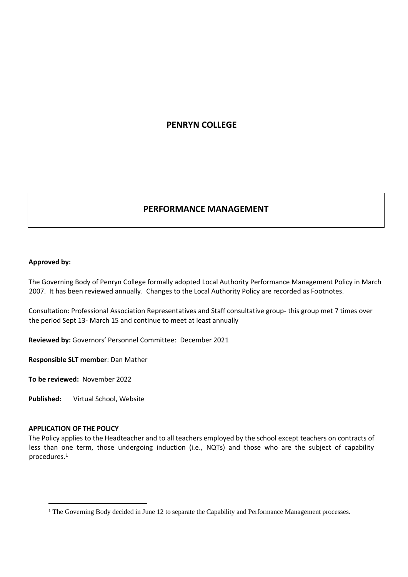# **PENRYN COLLEGE**

# **PERFORMANCE MANAGEMENT**

#### **Approved by:**

The Governing Body of Penryn College formally adopted Local Authority Performance Management Policy in March 2007. It has been reviewed annually. Changes to the Local Authority Policy are recorded as Footnotes.

Consultation: Professional Association Representatives and Staff consultative group- this group met 7 times over the period Sept 13- March 15 and continue to meet at least annually

**Reviewed by:** Governors' Personnel Committee: December 2021

**Responsible SLT member**: Dan Mather

**To be reviewed:** November 2022

**Published:** Virtual School, Website

#### **APPLICATION OF THE POLICY**

The Policy applies to the Headteacher and to all teachers employed by the school except teachers on contracts of less than one term, those undergoing induction (i.e., NQTs) and those who are the subject of capability procedures.<sup>1</sup>

<sup>&</sup>lt;sup>1</sup> The Governing Body decided in June 12 to separate the Capability and Performance Management processes.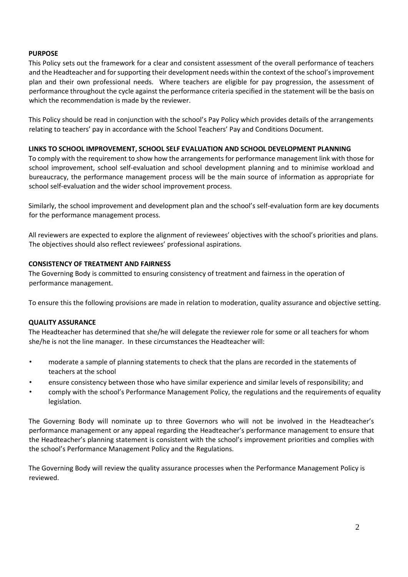### **PURPOSE**

This Policy sets out the framework for a clear and consistent assessment of the overall performance of teachers and the Headteacher and for supporting their development needs within the context of the school's improvement plan and their own professional needs. Where teachers are eligible for pay progression, the assessment of performance throughout the cycle against the performance criteria specified in the statement will be the basis on which the recommendation is made by the reviewer.

This Policy should be read in conjunction with the school's Pay Policy which provides details of the arrangements relating to teachers' pay in accordance with the School Teachers' Pay and Conditions Document.

#### **LINKS TO SCHOOL IMPROVEMENT, SCHOOL SELF EVALUATION AND SCHOOL DEVELOPMENT PLANNING**

To comply with the requirement to show how the arrangements for performance management link with those for school improvement, school self-evaluation and school development planning and to minimise workload and bureaucracy, the performance management process will be the main source of information as appropriate for school self-evaluation and the wider school improvement process.

Similarly, the school improvement and development plan and the school's self-evaluation form are key documents for the performance management process.

All reviewers are expected to explore the alignment of reviewees' objectives with the school's priorities and plans. The objectives should also reflect reviewees' professional aspirations.

#### **CONSISTENCY OF TREATMENT AND FAIRNESS**

The Governing Body is committed to ensuring consistency of treatment and fairness in the operation of performance management.

To ensure this the following provisions are made in relation to moderation, quality assurance and objective setting.

#### **QUALITY ASSURANCE**

The Headteacher has determined that she/he will delegate the reviewer role for some or all teachers for whom she/he is not the line manager. In these circumstances the Headteacher will:

- moderate a sample of planning statements to check that the plans are recorded in the statements of teachers at the school
- ensure consistency between those who have similar experience and similar levels of responsibility; and
- comply with the school's Performance Management Policy, the regulations and the requirements of equality legislation.

The Governing Body will nominate up to three Governors who will not be involved in the Headteacher's performance management or any appeal regarding the Headteacher's performance management to ensure that the Headteacher's planning statement is consistent with the school's improvement priorities and complies with the school's Performance Management Policy and the Regulations.

The Governing Body will review the quality assurance processes when the Performance Management Policy is reviewed.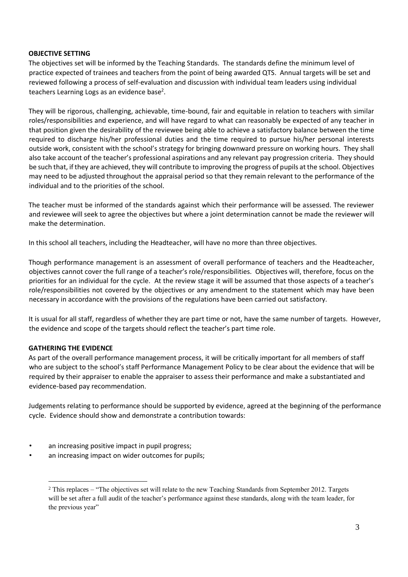### **OBJECTIVE SETTING**

The objectives set will be informed by the Teaching Standards. The standards define the minimum level of practice expected of trainees and teachers from the point of being awarded QTS. Annual targets will be set and reviewed following a process of self-evaluation and discussion with individual team leaders using individual teachers Learning Logs as an evidence base<sup>2</sup>.

They will be rigorous, challenging, achievable, time-bound, fair and equitable in relation to teachers with similar roles/responsibilities and experience, and will have regard to what can reasonably be expected of any teacher in that position given the desirability of the reviewee being able to achieve a satisfactory balance between the time required to discharge his/her professional duties and the time required to pursue his/her personal interests outside work, consistent with the school's strategy for bringing downward pressure on working hours. They shall also take account of the teacher's professional aspirations and any relevant pay progression criteria. They should be such that, if they are achieved, they will contribute to improving the progress of pupils at the school. Objectives may need to be adjusted throughout the appraisal period so that they remain relevant to the performance of the individual and to the priorities of the school.

The teacher must be informed of the standards against which their performance will be assessed. The reviewer and reviewee will seek to agree the objectives but where a joint determination cannot be made the reviewer will make the determination.

In this school all teachers, including the Headteacher, will have no more than three objectives.

Though performance management is an assessment of overall performance of teachers and the Headteacher, objectives cannot cover the full range of a teacher's role/responsibilities. Objectives will, therefore, focus on the priorities for an individual for the cycle. At the review stage it will be assumed that those aspects of a teacher's role/responsibilities not covered by the objectives or any amendment to the statement which may have been necessary in accordance with the provisions of the regulations have been carried out satisfactory.

It is usual for all staff, regardless of whether they are part time or not, have the same number of targets. However, the evidence and scope of the targets should reflect the teacher's part time role.

# **GATHERING THE EVIDENCE**

As part of the overall performance management process, it will be critically important for all members of staff who are subject to the school's staff Performance Management Policy to be clear about the evidence that will be required by their appraiser to enable the appraiser to assess their performance and make a substantiated and evidence-based pay recommendation.

Judgements relating to performance should be supported by evidence, agreed at the beginning of the performance cycle. Evidence should show and demonstrate a contribution towards:

- an increasing positive impact in pupil progress;
- an increasing impact on wider outcomes for pupils;

<sup>&</sup>lt;sup>2</sup> This replaces – "The objectives set will relate to the new Teaching Standards from September 2012. Targets will be set after a full audit of the teacher's performance against these standards, along with the team leader, for the previous year"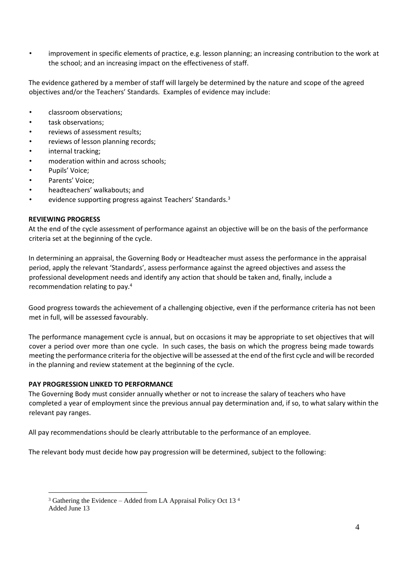• improvement in specific elements of practice, e.g. lesson planning; an increasing contribution to the work at the school; and an increasing impact on the effectiveness of staff.

The evidence gathered by a member of staff will largely be determined by the nature and scope of the agreed objectives and/or the Teachers' Standards. Examples of evidence may include:

- classroom observations;
- task observations;
- reviews of assessment results;
- reviews of lesson planning records;
- internal tracking;
- moderation within and across schools;
- Pupils' Voice;
- Parents' Voice;
- headteachers' walkabouts; and
- evidence supporting progress against Teachers' Standards.<sup>3</sup>

#### **REVIEWING PROGRESS**

At the end of the cycle assessment of performance against an objective will be on the basis of the performance criteria set at the beginning of the cycle.

In determining an appraisal, the Governing Body or Headteacher must assess the performance in the appraisal period, apply the relevant 'Standards', assess performance against the agreed objectives and assess the professional development needs and identify any action that should be taken and, finally, include a recommendation relating to pay.<sup>4</sup>

Good progress towards the achievement of a challenging objective, even if the performance criteria has not been met in full, will be assessed favourably.

The performance management cycle is annual, but on occasions it may be appropriate to set objectives that will cover a period over more than one cycle. In such cases, the basis on which the progress being made towards meeting the performance criteria for the objective will be assessed at the end of the first cycle and will be recorded in the planning and review statement at the beginning of the cycle.

### **PAY PROGRESSION LINKED TO PERFORMANCE**

The Governing Body must consider annually whether or not to increase the salary of teachers who have completed a year of employment since the previous annual pay determination and, if so, to what salary within the relevant pay ranges.

All pay recommendations should be clearly attributable to the performance of an employee.

The relevant body must decide how pay progression will be determined, subject to the following:

 $3$  Gathering the Evidence – Added from LA Appraisal Policy Oct 13<sup>4</sup> Added June 13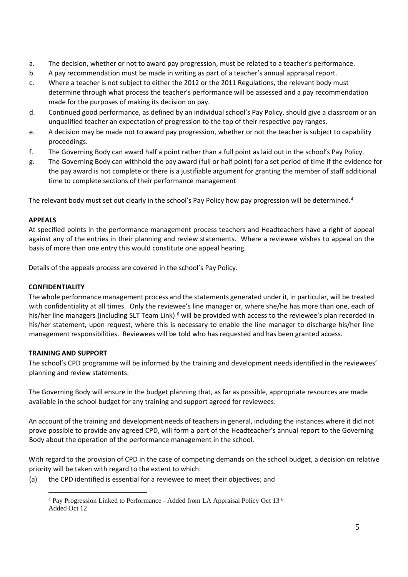- a. The decision, whether or not to award pay progression, must be related to a teacher's performance.
- b. A pay recommendation must be made in writing as part of a teacher's annual appraisal report.
- c. Where a teacher is not subject to either the 2012 or the 2011 Regulations, the relevant body must determine through what process the teacher's performance will be assessed and a pay recommendation made for the purposes of making its decision on pay.
- d. Continued good performance, as defined by an individual school's Pay Policy, should give a classroom or an unqualified teacher an expectation of progression to the top of their respective pay ranges.
- e. A decision may be made not to award pay progression, whether or not the teacher is subject to capability proceedings.
- f. The Governing Body can award half a point rather than a full point as laid out in the school's Pay Policy.
- g. The Governing Body can withhold the pay award (full or half point) for a set period of time if the evidence for the pay award is not complete or there is a justifiable argument for granting the member of staff additional time to complete sections of their performance management

The relevant body must set out clearly in the school's Pay Policy how pay progression will be determined.<sup>4</sup>

### **APPEALS**

At specified points in the performance management process teachers and Headteachers have a right of appeal against any of the entries in their planning and review statements. Where a reviewee wishes to appeal on the basis of more than one entry this would constitute one appeal hearing.

Details of the appeals process are covered in the school's Pay Policy.

## **CONFIDENTIALITY**

The whole performance management process and the statements generated under it, in particular, will be treated with confidentiality at all times. Only the reviewee's line manager or, where she/he has more than one, each of his/her line managers (including SLT Team Link) <sup>6</sup> will be provided with access to the reviewee's plan recorded in his/her statement, upon request, where this is necessary to enable the line manager to discharge his/her line management responsibilities. Reviewees will be told who has requested and has been granted access.

# **TRAINING AND SUPPORT**

The school's CPD programme will be informed by the training and development needs identified in the reviewees' planning and review statements.

The Governing Body will ensure in the budget planning that, as far as possible, appropriate resources are made available in the school budget for any training and support agreed for reviewees.

An account of the training and development needs of teachers in general, including the instances where it did not prove possible to provide any agreed CPD, will form a part of the Headteacher's annual report to the Governing Body about the operation of the performance management in the school.

With regard to the provision of CPD in the case of competing demands on the school budget, a decision on relative priority will be taken with regard to the extent to which:

(a) the CPD identified is essential for a reviewee to meet their objectives; and

<sup>4</sup> Pay Progression Linked to Performance - Added from LA Appraisal Policy Oct 13 <sup>6</sup> Added Oct 12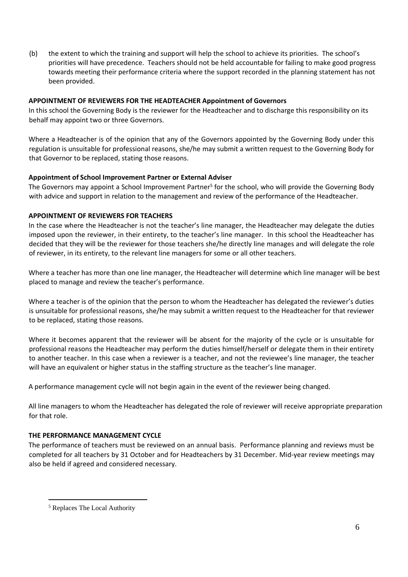(b) the extent to which the training and support will help the school to achieve its priorities. The school's priorities will have precedence. Teachers should not be held accountable for failing to make good progress towards meeting their performance criteria where the support recorded in the planning statement has not been provided.

### **APPOINTMENT OF REVIEWERS FOR THE HEADTEACHER Appointment of Governors**

In this school the Governing Body is the reviewer for the Headteacher and to discharge this responsibility on its behalf may appoint two or three Governors.

Where a Headteacher is of the opinion that any of the Governors appointed by the Governing Body under this regulation is unsuitable for professional reasons, she/he may submit a written request to the Governing Body for that Governor to be replaced, stating those reasons.

# **Appointment of School Improvement Partner or External Adviser**

The Governors may appoint a School Improvement Partner<sup>5</sup> for the school, who will provide the Governing Body with advice and support in relation to the management and review of the performance of the Headteacher.

### **APPOINTMENT OF REVIEWERS FOR TEACHERS**

In the case where the Headteacher is not the teacher's line manager, the Headteacher may delegate the duties imposed upon the reviewer, in their entirety, to the teacher's line manager. In this school the Headteacher has decided that they will be the reviewer for those teachers she/he directly line manages and will delegate the role of reviewer, in its entirety, to the relevant line managers for some or all other teachers.

Where a teacher has more than one line manager, the Headteacher will determine which line manager will be best placed to manage and review the teacher's performance.

Where a teacher is of the opinion that the person to whom the Headteacher has delegated the reviewer's duties is unsuitable for professional reasons, she/he may submit a written request to the Headteacher for that reviewer to be replaced, stating those reasons.

Where it becomes apparent that the reviewer will be absent for the majority of the cycle or is unsuitable for professional reasons the Headteacher may perform the duties himself/herself or delegate them in their entirety to another teacher. In this case when a reviewer is a teacher, and not the reviewee's line manager, the teacher will have an equivalent or higher status in the staffing structure as the teacher's line manager.

A performance management cycle will not begin again in the event of the reviewer being changed.

All line managers to whom the Headteacher has delegated the role of reviewer will receive appropriate preparation for that role.

# **THE PERFORMANCE MANAGEMENT CYCLE**

The performance of teachers must be reviewed on an annual basis. Performance planning and reviews must be completed for all teachers by 31 October and for Headteachers by 31 December. Mid-year review meetings may also be held if agreed and considered necessary.

<sup>5</sup> Replaces The Local Authority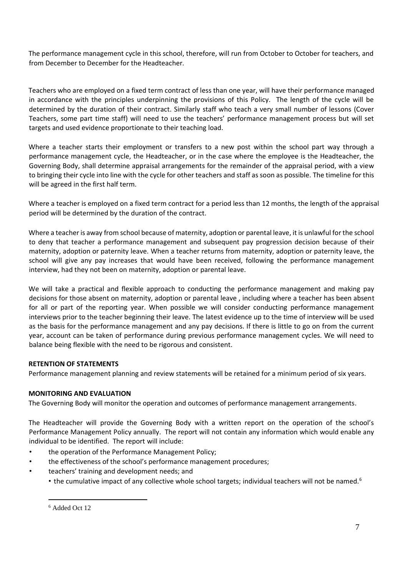The performance management cycle in this school, therefore, will run from October to October for teachers, and from December to December for the Headteacher.

Teachers who are employed on a fixed term contract of less than one year, will have their performance managed in accordance with the principles underpinning the provisions of this Policy. The length of the cycle will be determined by the duration of their contract. Similarly staff who teach a very small number of lessons (Cover Teachers, some part time staff) will need to use the teachers' performance management process but will set targets and used evidence proportionate to their teaching load.

Where a teacher starts their employment or transfers to a new post within the school part way through a performance management cycle, the Headteacher, or in the case where the employee is the Headteacher, the Governing Body, shall determine appraisal arrangements for the remainder of the appraisal period, with a view to bringing their cycle into line with the cycle for other teachers and staff as soon as possible. The timeline for this will be agreed in the first half term.

Where a teacher is employed on a fixed term contract for a period less than 12 months, the length of the appraisal period will be determined by the duration of the contract.

Where a teacher is away from school because of maternity, adoption or parental leave, it is unlawful for the school to deny that teacher a performance management and subsequent pay progression decision because of their maternity, adoption or paternity leave. When a teacher returns from maternity, adoption or paternity leave, the school will give any pay increases that would have been received, following the performance management interview, had they not been on maternity, adoption or parental leave.

We will take a practical and flexible approach to conducting the performance management and making pay decisions for those absent on maternity, adoption or parental leave , including where a teacher has been absent for all or part of the reporting year. When possible we will consider conducting performance management interviews prior to the teacher beginning their leave. The latest evidence up to the time of interview will be used as the basis for the performance management and any pay decisions. If there is little to go on from the current year, account can be taken of performance during previous performance management cycles. We will need to balance being flexible with the need to be rigorous and consistent.

# **RETENTION OF STATEMENTS**

Performance management planning and review statements will be retained for a minimum period of six years.

# **MONITORING AND EVALUATION**

The Governing Body will monitor the operation and outcomes of performance management arrangements.

The Headteacher will provide the Governing Body with a written report on the operation of the school's Performance Management Policy annually. The report will not contain any information which would enable any individual to be identified. The report will include:

- the operation of the Performance Management Policy;
- the effectiveness of the school's performance management procedures;
- teachers' training and development needs; and
	- the cumulative impact of any collective whole school targets; individual teachers will not be named.<sup>6</sup>

<sup>6</sup> Added Oct 12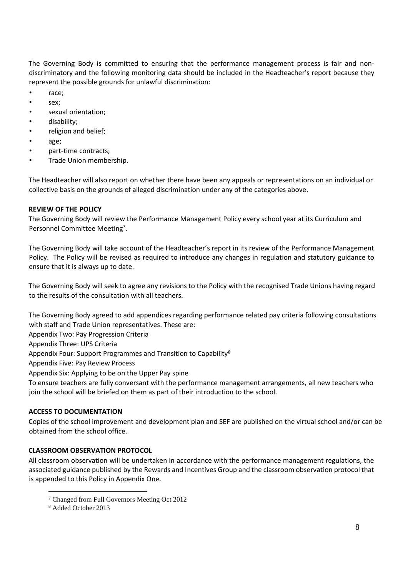The Governing Body is committed to ensuring that the performance management process is fair and nondiscriminatory and the following monitoring data should be included in the Headteacher's report because they represent the possible grounds for unlawful discrimination:

- race;
- sex:
- sexual orientation;
- disability;
- religion and belief;
- age;
- part-time contracts;
- Trade Union membership.

The Headteacher will also report on whether there have been any appeals or representations on an individual or collective basis on the grounds of alleged discrimination under any of the categories above.

#### **REVIEW OF THE POLICY**

The Governing Body will review the Performance Management Policy every school year at its Curriculum and Personnel Committee Meeting<sup>7</sup>.

The Governing Body will take account of the Headteacher's report in its review of the Performance Management Policy. The Policy will be revised as required to introduce any changes in regulation and statutory guidance to ensure that it is always up to date.

The Governing Body will seek to agree any revisions to the Policy with the recognised Trade Unions having regard to the results of the consultation with all teachers.

The Governing Body agreed to add appendices regarding performance related pay criteria following consultations with staff and Trade Union representatives. These are:

Appendix Two: Pay Progression Criteria

Appendix Three: UPS Criteria

Appendix Four: Support Programmes and Transition to Capability<sup>8</sup>

Appendix Five: Pay Review Process

Appendix Six: Applying to be on the Upper Pay spine

To ensure teachers are fully conversant with the performance management arrangements, all new teachers who join the school will be briefed on them as part of their introduction to the school.

#### **ACCESS TO DOCUMENTATION**

Copies of the school improvement and development plan and SEF are published on the virtual school and/or can be obtained from the school office.

# **CLASSROOM OBSERVATION PROTOCOL**

All classroom observation will be undertaken in accordance with the performance management regulations, the associated guidance published by the Rewards and Incentives Group and the classroom observation protocol that is appended to this Policy in Appendix One.

<sup>7</sup> Changed from Full Governors Meeting Oct 2012

<sup>8</sup> Added October 2013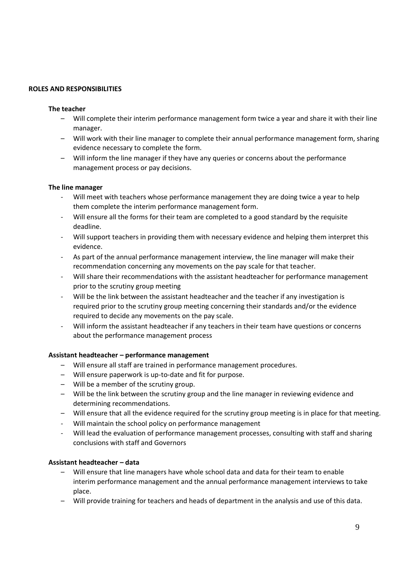#### **ROLES AND RESPONSIBILITIES**

#### **The teacher**

- Will complete their interim performance management form twice a year and share it with their line manager.
- Will work with their line manager to complete their annual performance management form, sharing evidence necessary to complete the form.
- Will inform the line manager if they have any queries or concerns about the performance management process or pay decisions.

#### **The line manager**

- Will meet with teachers whose performance management they are doing twice a year to help them complete the interim performance management form.
- Will ensure all the forms for their team are completed to a good standard by the requisite deadline.
- Will support teachers in providing them with necessary evidence and helping them interpret this evidence.
- As part of the annual performance management interview, the line manager will make their recommendation concerning any movements on the pay scale for that teacher.
- Will share their recommendations with the assistant headteacher for performance management prior to the scrutiny group meeting
- Will be the link between the assistant headteacher and the teacher if any investigation is required prior to the scrutiny group meeting concerning their standards and/or the evidence required to decide any movements on the pay scale.
- Will inform the assistant headteacher if any teachers in their team have questions or concerns about the performance management process

#### **Assistant headteacher – performance management**

- Will ensure all staff are trained in performance management procedures.
- Will ensure paperwork is up-to-date and fit for purpose.
- Will be a member of the scrutiny group.
- Will be the link between the scrutiny group and the line manager in reviewing evidence and determining recommendations.
- Will ensure that all the evidence required for the scrutiny group meeting is in place for that meeting.
- Will maintain the school policy on performance management
- Will lead the evaluation of performance management processes, consulting with staff and sharing conclusions with staff and Governors

## **Assistant headteacher – data**

- Will ensure that line managers have whole school data and data for their team to enable interim performance management and the annual performance management interviews to take place.
- Will provide training for teachers and heads of department in the analysis and use of this data.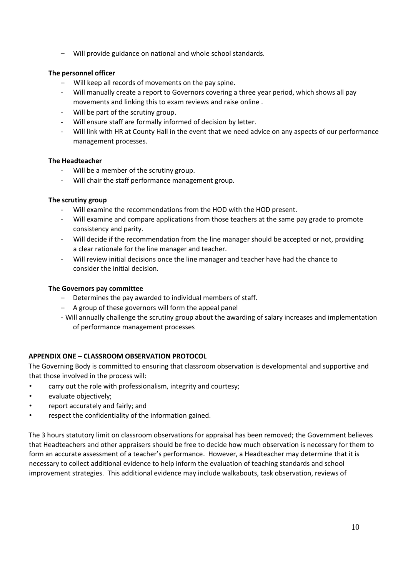– Will provide guidance on national and whole school standards.

### **The personnel officer**

- Will keep all records of movements on the pay spine.
- Will manually create a report to Governors covering a three year period, which shows all pay movements and linking this to exam reviews and raise online .
- Will be part of the scrutiny group.
- Will ensure staff are formally informed of decision by letter.
- Will link with HR at County Hall in the event that we need advice on any aspects of our performance management processes.

#### **The Headteacher**

- Will be a member of the scrutiny group.
- Will chair the staff performance management group.

### **The scrutiny group**

- Will examine the recommendations from the HOD with the HOD present.
- Will examine and compare applications from those teachers at the same pay grade to promote consistency and parity.
- Will decide if the recommendation from the line manager should be accepted or not, providing a clear rationale for the line manager and teacher.
- Will review initial decisions once the line manager and teacher have had the chance to consider the initial decision.

#### **The Governors pay committee**

- Determines the pay awarded to individual members of staff.
- A group of these governors will form the appeal panel
- Will annually challenge the scrutiny group about the awarding of salary increases and implementation of performance management processes

# **APPENDIX ONE – CLASSROOM OBSERVATION PROTOCOL**

The Governing Body is committed to ensuring that classroom observation is developmental and supportive and that those involved in the process will:

- carry out the role with professionalism, integrity and courtesy;
- evaluate objectively;
- report accurately and fairly; and
- respect the confidentiality of the information gained.

The 3 hours statutory limit on classroom observations for appraisal has been removed; the Government believes that Headteachers and other appraisers should be free to decide how much observation is necessary for them to form an accurate assessment of a teacher's performance. However, a Headteacher may determine that it is necessary to collect additional evidence to help inform the evaluation of teaching standards and school improvement strategies. This additional evidence may include walkabouts, task observation, reviews of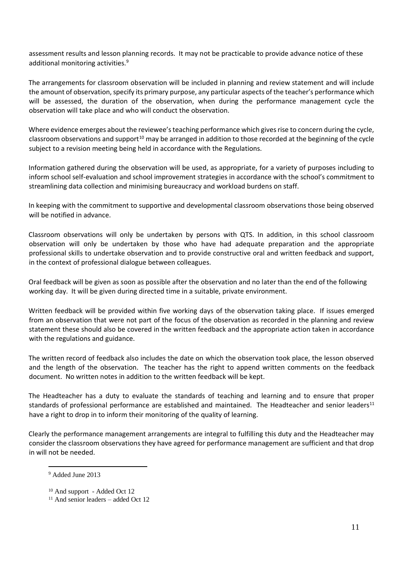assessment results and lesson planning records. It may not be practicable to provide advance notice of these additional monitoring activities.<sup>9</sup>

The arrangements for classroom observation will be included in planning and review statement and will include the amount of observation, specify its primary purpose, any particular aspects of the teacher's performance which will be assessed, the duration of the observation, when during the performance management cycle the observation will take place and who will conduct the observation.

Where evidence emerges about the reviewee's teaching performance which gives rise to concern during the cycle, classroom observations and support<sup>10</sup> may be arranged in addition to those recorded at the beginning of the cycle subject to a revision meeting being held in accordance with the Regulations.

Information gathered during the observation will be used, as appropriate, for a variety of purposes including to inform school self-evaluation and school improvement strategies in accordance with the school's commitment to streamlining data collection and minimising bureaucracy and workload burdens on staff.

In keeping with the commitment to supportive and developmental classroom observations those being observed will be notified in advance.

Classroom observations will only be undertaken by persons with QTS. In addition, in this school classroom observation will only be undertaken by those who have had adequate preparation and the appropriate professional skills to undertake observation and to provide constructive oral and written feedback and support, in the context of professional dialogue between colleagues.

Oral feedback will be given as soon as possible after the observation and no later than the end of the following working day. It will be given during directed time in a suitable, private environment.

Written feedback will be provided within five working days of the observation taking place. If issues emerged from an observation that were not part of the focus of the observation as recorded in the planning and review statement these should also be covered in the written feedback and the appropriate action taken in accordance with the regulations and guidance.

The written record of feedback also includes the date on which the observation took place, the lesson observed and the length of the observation. The teacher has the right to append written comments on the feedback document. No written notes in addition to the written feedback will be kept.

The Headteacher has a duty to evaluate the standards of teaching and learning and to ensure that proper standards of professional performance are established and maintained. The Headteacher and senior leaders $11$ have a right to drop in to inform their monitoring of the quality of learning.

Clearly the performance management arrangements are integral to fulfilling this duty and the Headteacher may consider the classroom observations they have agreed for performance management are sufficient and that drop in will not be needed.

<sup>9</sup> Added June 2013

<sup>&</sup>lt;sup>10</sup> And support - Added Oct 12

 $11$  And senior leaders – added Oct 12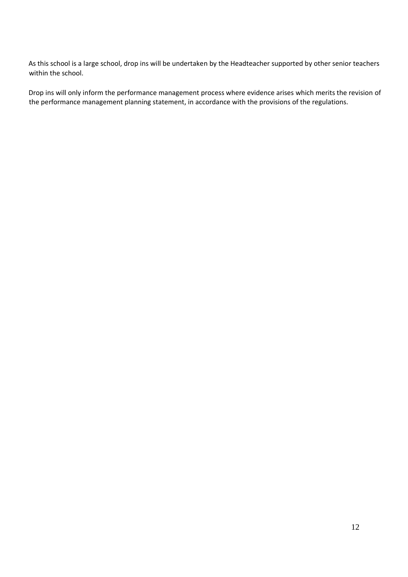As this school is a large school, drop ins will be undertaken by the Headteacher supported by other senior teachers within the school.

Drop ins will only inform the performance management process where evidence arises which merits the revision of the performance management planning statement, in accordance with the provisions of the regulations.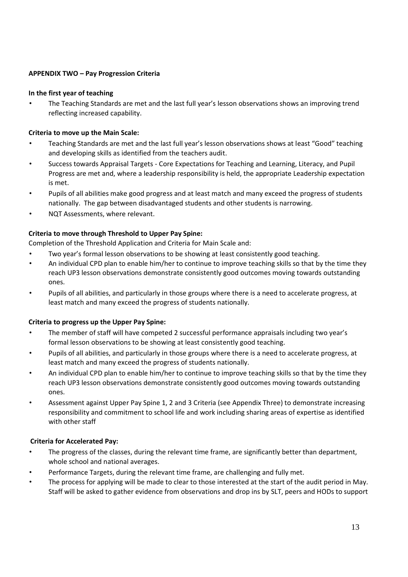## **APPENDIX TWO – Pay Progression Criteria**

### **In the first year of teaching**

• The Teaching Standards are met and the last full year's lesson observations shows an improving trend reflecting increased capability.

### **Criteria to move up the Main Scale:**

- Teaching Standards are met and the last full year's lesson observations shows at least "Good" teaching and developing skills as identified from the teachers audit.
- Success towards Appraisal Targets Core Expectations for Teaching and Learning, Literacy, and Pupil Progress are met and, where a leadership responsibility is held, the appropriate Leadership expectation is met.
- Pupils of all abilities make good progress and at least match and many exceed the progress of students nationally. The gap between disadvantaged students and other students is narrowing.
- NQT Assessments, where relevant.

# **Criteria to move through Threshold to Upper Pay Spine:**

Completion of the Threshold Application and Criteria for Main Scale and:

- Two year's formal lesson observations to be showing at least consistently good teaching.
- An individual CPD plan to enable him/her to continue to improve teaching skills so that by the time they reach UP3 lesson observations demonstrate consistently good outcomes moving towards outstanding ones.
- Pupils of all abilities, and particularly in those groups where there is a need to accelerate progress, at least match and many exceed the progress of students nationally.

# **Criteria to progress up the Upper Pay Spine:**

- The member of staff will have competed 2 successful performance appraisals including two year's formal lesson observations to be showing at least consistently good teaching.
- Pupils of all abilities, and particularly in those groups where there is a need to accelerate progress, at least match and many exceed the progress of students nationally.
- An individual CPD plan to enable him/her to continue to improve teaching skills so that by the time they reach UP3 lesson observations demonstrate consistently good outcomes moving towards outstanding ones.
- Assessment against Upper Pay Spine 1, 2 and 3 Criteria (see Appendix Three) to demonstrate increasing responsibility and commitment to school life and work including sharing areas of expertise as identified with other staff

# **Criteria for Accelerated Pay:**

- The progress of the classes, during the relevant time frame, are significantly better than department, whole school and national averages.
- Performance Targets, during the relevant time frame, are challenging and fully met.
- The process for applying will be made to clear to those interested at the start of the audit period in May. Staff will be asked to gather evidence from observations and drop ins by SLT, peers and HODs to support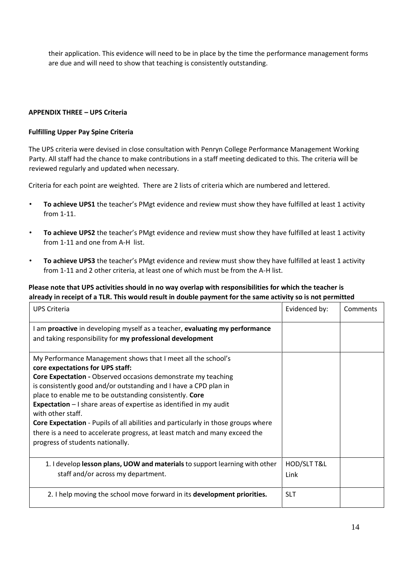their application. This evidence will need to be in place by the time the performance management forms are due and will need to show that teaching is consistently outstanding.

### **APPENDIX THREE – UPS Criteria**

### **Fulfilling Upper Pay Spine Criteria**

The UPS criteria were devised in close consultation with Penryn College Performance Management Working Party. All staff had the chance to make contributions in a staff meeting dedicated to this. The criteria will be reviewed regularly and updated when necessary.

Criteria for each point are weighted. There are 2 lists of criteria which are numbered and lettered.

- **To achieve UPS1** the teacher's PMgt evidence and review must show they have fulfilled at least 1 activity from 1-11.
- **To achieve UPS2** the teacher's PMgt evidence and review must show they have fulfilled at least 1 activity from 1-11 and one from A-H list.
- **To achieve UPS3** the teacher's PMgt evidence and review must show they have fulfilled at least 1 activity from 1-11 and 2 other criteria, at least one of which must be from the A-H list.

# **Please note that UPS activities should in no way overlap with responsibilities for which the teacher is already in receipt of a TLR. This would result in double payment for the same activity so is not permitted**

| <b>UPS Criteria</b>                                                                                                                                                                                                                                                                                                                                                                                                                                                                                                                                                                                               | Evidenced by:       | Comments |
|-------------------------------------------------------------------------------------------------------------------------------------------------------------------------------------------------------------------------------------------------------------------------------------------------------------------------------------------------------------------------------------------------------------------------------------------------------------------------------------------------------------------------------------------------------------------------------------------------------------------|---------------------|----------|
| I am proactive in developing myself as a teacher, evaluating my performance<br>and taking responsibility for my professional development                                                                                                                                                                                                                                                                                                                                                                                                                                                                          |                     |          |
| My Performance Management shows that I meet all the school's<br>core expectations for UPS staff:<br><b>Core Expectation - Observed occasions demonstrate my teaching</b><br>is consistently good and/or outstanding and I have a CPD plan in<br>place to enable me to be outstanding consistently. Core<br><b>Expectation</b> $-1$ share areas of expertise as identified in my audit<br>with other staff.<br>Core Expectation - Pupils of all abilities and particularly in those groups where<br>there is a need to accelerate progress, at least match and many exceed the<br>progress of students nationally. |                     |          |
| 1. I develop lesson plans, UOW and materials to support learning with other<br>staff and/or across my department.                                                                                                                                                                                                                                                                                                                                                                                                                                                                                                 | HOD/SLT T&L<br>Link |          |
| 2. I help moving the school move forward in its development priorities.                                                                                                                                                                                                                                                                                                                                                                                                                                                                                                                                           | <b>SLT</b>          |          |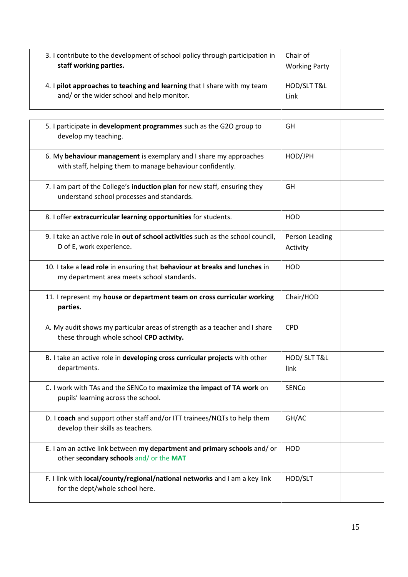| 3. I contribute to the development of school policy through participation in<br>staff working parties.                 | Chair of<br><b>Working Party</b> |  |
|------------------------------------------------------------------------------------------------------------------------|----------------------------------|--|
| 4. I pilot approaches to teaching and learning that I share with my team<br>and/ or the wider school and help monitor. | HOD/SLT T&L<br>Link              |  |

| 5. I participate in development programmes such as the G2O group to<br>develop my teaching.                                    | GH                         |  |
|--------------------------------------------------------------------------------------------------------------------------------|----------------------------|--|
| 6. My behaviour management is exemplary and I share my approaches<br>with staff, helping them to manage behaviour confidently. | HOD/JPH                    |  |
| 7. I am part of the College's induction plan for new staff, ensuring they<br>understand school processes and standards.        | GH                         |  |
| 8. I offer extracurricular learning opportunities for students.                                                                | <b>HOD</b>                 |  |
| 9. I take an active role in out of school activities such as the school council,<br>D of E, work experience.                   | Person Leading<br>Activity |  |
| 10. I take a lead role in ensuring that behaviour at breaks and lunches in<br>my department area meets school standards.       | <b>HOD</b>                 |  |
| 11. I represent my house or department team on cross curricular working<br>parties.                                            | Chair/HOD                  |  |
| A. My audit shows my particular areas of strength as a teacher and I share<br>these through whole school CPD activity.         | <b>CPD</b>                 |  |
| B. I take an active role in developing cross curricular projects with other<br>departments.                                    | HOD/ SLT T&L<br>link       |  |
| C. I work with TAs and the SENCo to maximize the impact of TA work on<br>pupils' learning across the school.                   | SENCo                      |  |
| D. I coach and support other staff and/or ITT trainees/NQTs to help them<br>develop their skills as teachers.                  | GH/AC                      |  |
| E. I am an active link between my department and primary schools and/or<br>other secondary schools and/ or the MAT             | <b>HOD</b>                 |  |
| F. I link with local/county/regional/national networks and I am a key link<br>for the dept/whole school here.                  | HOD/SLT                    |  |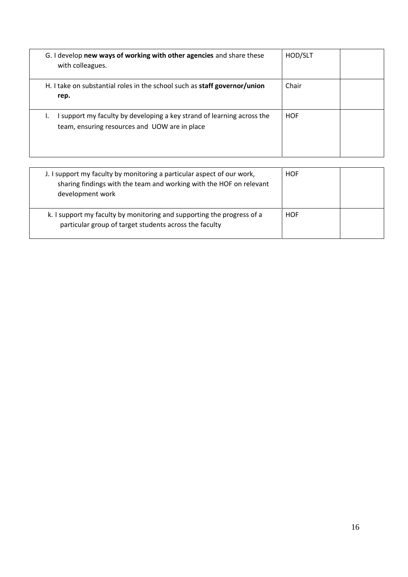| G. I develop new ways of working with other agencies and share these<br>with colleagues.                              | HOD/SLT    |  |
|-----------------------------------------------------------------------------------------------------------------------|------------|--|
| H. I take on substantial roles in the school such as staff governor/union<br>rep.                                     | Chair      |  |
| support my faculty by developing a key strand of learning across the<br>team, ensuring resources and UOW are in place | <b>HOF</b> |  |

| J. I support my faculty by monitoring a particular aspect of our work,<br>sharing findings with the team and working with the HOF on relevant<br>development work | <b>HOF</b> |  |
|-------------------------------------------------------------------------------------------------------------------------------------------------------------------|------------|--|
| k. I support my faculty by monitoring and supporting the progress of a<br>particular group of target students across the faculty                                  | <b>HOF</b> |  |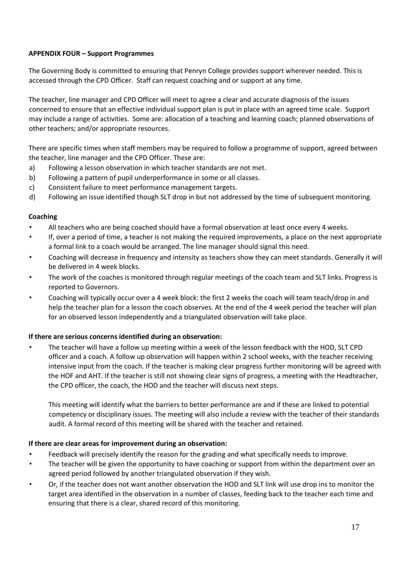# **APPENDIX FOUR – Support Programmes**

The Governing Body is committed to ensuring that Penryn College provides support wherever needed. This is accessed through the CPD Officer. Staff can request coaching and or support at any time.

The teacher, line manager and CPD Officer will meet to agree a clear and accurate diagnosis of the issues concerned to ensure that an effective individual support plan is put in place with an agreed time scale. Support may include a range of activities. Some are: allocation of a teaching and learning coach; planned observations of other teachers; and/or appropriate resources.

There are specific times when staff members may be required to follow a programme of support, agreed between the teacher, line manager and the CPD Officer. These are:

- a) Following a lesson observation in which teacher standards are not met.
- b) Following a pattern of pupil underperformance in some or all classes.
- c) Consistent failure to meet performance management targets.
- d) Following an issue identified though SLT drop in but not addressed by the time of subsequent monitoring.

### **Coaching**

- All teachers who are being coached should have a formal observation at least once every 4 weeks.
- If, over a period of time, a teacher is not making the required improvements, a place on the next appropriate a formal link to a coach would be arranged. The line manager should signal this need.
- Coaching will decrease in frequency and intensity as teachers show they can meet standards. Generally it will be delivered in 4 week blocks.
- The work of the coaches is monitored through regular meetings of the coach team and SLT links. Progress is reported to Governors.
- Coaching will typically occur over a 4 week block: the first 2 weeks the coach will team teach/drop in and help the teacher plan for a lesson the coach observes. At the end of the 4 week period the teacher will plan for an observed lesson independently and a triangulated observation will take place.

#### **If there are serious concerns identified during an observation:**

• The teacher will have a follow up meeting within a week of the lesson feedback with the HOD, SLT CPD officer and a coach. A follow up observation will happen within 2 school weeks, with the teacher receiving intensive input from the coach. If the teacher is making clear progress further monitoring will be agreed with the HOF and AHT. If the teacher is still not showing clear signs of progress, a meeting with the Headteacher, the CPD officer, the coach, the HOD and the teacher will discuss next steps.

This meeting will identify what the barriers to better performance are and if these are linked to potential competency or disciplinary issues. The meeting will also include a review with the teacher of their standards audit. A formal record of this meeting will be shared with the teacher and retained.

# **If there are clear areas for improvement during an observation:**

- Feedback will precisely identify the reason for the grading and what specifically needs to improve.
- The teacher will be given the opportunity to have coaching or support from within the department over an agreed period followed by another triangulated observation if they wish.
- Or, if the teacher does not want another observation the HOD and SLT link will use drop ins to monitor the target area identified in the observation in a number of classes, feeding back to the teacher each time and ensuring that there is a clear, shared record of this monitoring.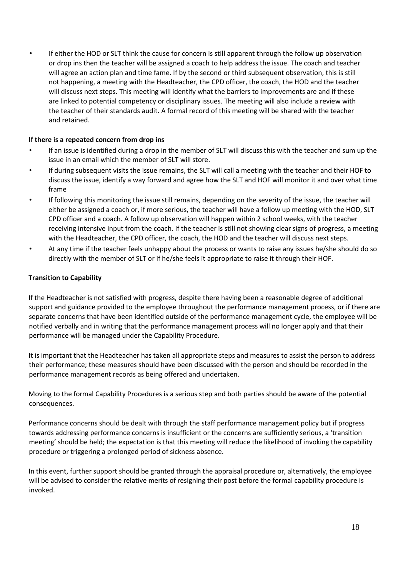• If either the HOD or SLT think the cause for concern is still apparent through the follow up observation or drop ins then the teacher will be assigned a coach to help address the issue. The coach and teacher will agree an action plan and time fame. If by the second or third subsequent observation, this is still not happening, a meeting with the Headteacher, the CPD officer, the coach, the HOD and the teacher will discuss next steps. This meeting will identify what the barriers to improvements are and if these are linked to potential competency or disciplinary issues. The meeting will also include a review with the teacher of their standards audit. A formal record of this meeting will be shared with the teacher and retained.

# **If there is a repeated concern from drop ins**

- If an issue is identified during a drop in the member of SLT will discuss this with the teacher and sum up the issue in an email which the member of SLT will store.
- If during subsequent visits the issue remains, the SLT will call a meeting with the teacher and their HOF to discuss the issue, identify a way forward and agree how the SLT and HOF will monitor it and over what time frame
- If following this monitoring the issue still remains, depending on the severity of the issue, the teacher will either be assigned a coach or, if more serious, the teacher will have a follow up meeting with the HOD, SLT CPD officer and a coach. A follow up observation will happen within 2 school weeks, with the teacher receiving intensive input from the coach. If the teacher is still not showing clear signs of progress, a meeting with the Headteacher, the CPD officer, the coach, the HOD and the teacher will discuss next steps.
- At any time if the teacher feels unhappy about the process or wants to raise any issues he/she should do so directly with the member of SLT or if he/she feels it appropriate to raise it through their HOF.

# **Transition to Capability**

If the Headteacher is not satisfied with progress, despite there having been a reasonable degree of additional support and guidance provided to the employee throughout the performance management process, or if there are separate concerns that have been identified outside of the performance management cycle, the employee will be notified verbally and in writing that the performance management process will no longer apply and that their performance will be managed under the Capability Procedure.

It is important that the Headteacher has taken all appropriate steps and measures to assist the person to address their performance; these measures should have been discussed with the person and should be recorded in the performance management records as being offered and undertaken.

Moving to the formal Capability Procedures is a serious step and both parties should be aware of the potential consequences.

Performance concerns should be dealt with through the staff performance management policy but if progress towards addressing performance concerns is insufficient or the concerns are sufficiently serious, a 'transition meeting' should be held; the expectation is that this meeting will reduce the likelihood of invoking the capability procedure or triggering a prolonged period of sickness absence.

In this event, further support should be granted through the appraisal procedure or, alternatively, the employee will be advised to consider the relative merits of resigning their post before the formal capability procedure is invoked.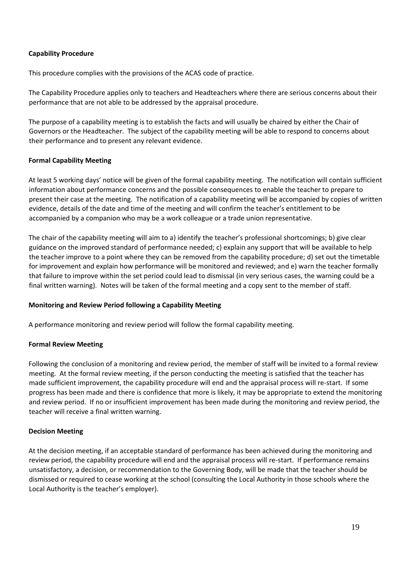### **Capability Procedure**

This procedure complies with the provisions of the ACAS code of practice.

The Capability Procedure applies only to teachers and Headteachers where there are serious concerns about their performance that are not able to be addressed by the appraisal procedure.

The purpose of a capability meeting is to establish the facts and will usually be chaired by either the Chair of Governors or the Headteacher. The subject of the capability meeting will be able to respond to concerns about their performance and to present any relevant evidence.

### **Formal Capability Meeting**

At least 5 working days' notice will be given of the formal capability meeting. The notification will contain sufficient information about performance concerns and the possible consequences to enable the teacher to prepare to present their case at the meeting. The notification of a capability meeting will be accompanied by copies of written evidence, details of the date and time of the meeting and will confirm the teacher's entitlement to be accompanied by a companion who may be a work colleague or a trade union representative.

The chair of the capability meeting will aim to a) identify the teacher's professional shortcomings; b) give clear guidance on the improved standard of performance needed; c) explain any support that will be available to help the teacher improve to a point where they can be removed from the capability procedure; d) set out the timetable for improvement and explain how performance will be monitored and reviewed; and e) warn the teacher formally that failure to improve within the set period could lead to dismissal (in very serious cases, the warning could be a final written warning). Notes will be taken of the formal meeting and a copy sent to the member of staff.

#### **Monitoring and Review Period following a Capability Meeting**

A performance monitoring and review period will follow the formal capability meeting.

#### **Formal Review Meeting**

Following the conclusion of a monitoring and review period, the member of staff will be invited to a formal review meeting. At the formal review meeting, if the person conducting the meeting is satisfied that the teacher has made sufficient improvement, the capability procedure will end and the appraisal process will re-start. If some progress has been made and there is confidence that more is likely, it may be appropriate to extend the monitoring and review period. If no or insufficient improvement has been made during the monitoring and review period, the teacher will receive a final written warning.

#### **Decision Meeting**

At the decision meeting, if an acceptable standard of performance has been achieved during the monitoring and review period, the capability procedure will end and the appraisal process will re-start. If performance remains unsatisfactory, a decision, or recommendation to the Governing Body, will be made that the teacher should be dismissed or required to cease working at the school (consulting the Local Authority in those schools where the Local Authority is the teacher's employer).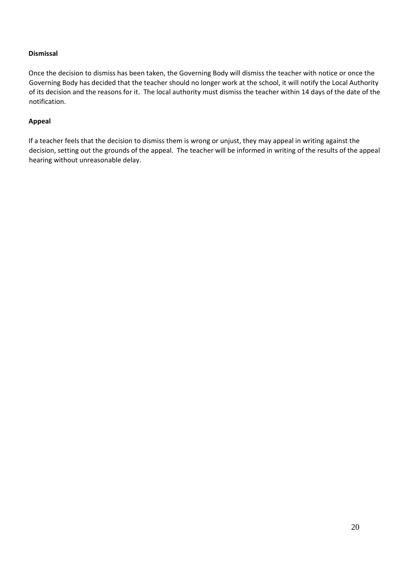### **Dismissal**

Once the decision to dismiss has been taken, the Governing Body will dismiss the teacher with notice or once the Governing Body has decided that the teacher should no longer work at the school, it will notify the Local Authority of its decision and the reasons for it. The local authority must dismiss the teacher within 14 days of the date of the notification.

### **Appeal**

If a teacher feels that the decision to dismiss them is wrong or unjust, they may appeal in writing against the decision, setting out the grounds of the appeal. The teacher will be informed in writing of the results of the appeal hearing without unreasonable delay.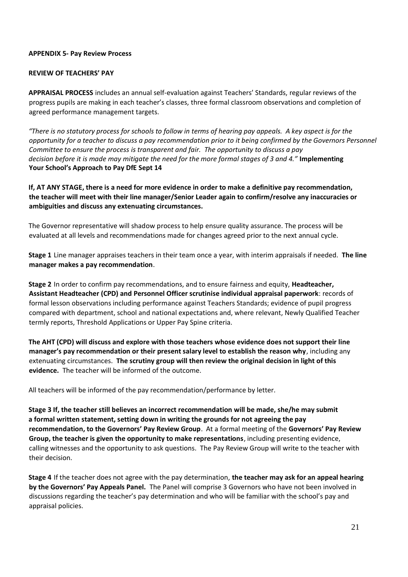### **APPENDIX 5- Pay Review Process**

## **REVIEW OF TEACHERS' PAY**

**APPRAISAL PROCESS** includes an annual self-evaluation against Teachers' Standards, regular reviews of the progress pupils are making in each teacher's classes, three formal classroom observations and completion of agreed performance management targets.

*"There is no statutory process for schools to follow in terms of hearing pay appeals. A key aspect is for the opportunity for a teacher to discuss a pay recommendation prior to it being confirmed by the Governors Personnel Committee to ensure the process is transparent and fair. The opportunity to discuss a pay decision before it is made may mitigate the need for the more formal stages of 3 and 4."* **Implementing Your School's Approach to Pay DfE Sept 14** 

**If, AT ANY STAGE, there is a need for more evidence in order to make a definitive pay recommendation, the teacher will meet with their line manager/Senior Leader again to confirm/resolve any inaccuracies or ambiguities and discuss any extenuating circumstances.** 

The Governor representative will shadow process to help ensure quality assurance. The process will be evaluated at all levels and recommendations made for changes agreed prior to the next annual cycle.

**Stage 1** Line manager appraises teachers in their team once a year, with interim appraisals if needed. **The line manager makes a pay recommendation**.

**Stage 2** In order to confirm pay recommendations, and to ensure fairness and equity, **Headteacher, Assistant Headteacher (CPD) and Personnel Officer scrutinise individual appraisal paperwork**: records of formal lesson observations including performance against Teachers Standards; evidence of pupil progress compared with department, school and national expectations and, where relevant, Newly Qualified Teacher termly reports, Threshold Applications or Upper Pay Spine criteria.

**The AHT (CPD) will discuss and explore with those teachers whose evidence does not support their line manager's pay recommendation or their present salary level to establish the reason why**, including any extenuating circumstances. **The scrutiny group will then review the original decision in light of this evidence.** The teacher will be informed of the outcome.

All teachers will be informed of the pay recommendation/performance by letter.

**Stage 3 If, the teacher still believes an incorrect recommendation will be made, she/he may submit a formal written statement, setting down in writing the grounds for not agreeing the pay recommendation, to the Governors' Pay Review Group**. At a formal meeting of the **Governors' Pay Review Group, the teacher is given the opportunity to make representations**, including presenting evidence, calling witnesses and the opportunity to ask questions. The Pay Review Group will write to the teacher with their decision.

**Stage 4** If the teacher does not agree with the pay determination, **the teacher may ask for an appeal hearing by the Governors' Pay Appeals Panel.** The Panel will comprise 3 Governors who have not been involved in discussions regarding the teacher's pay determination and who will be familiar with the school's pay and appraisal policies.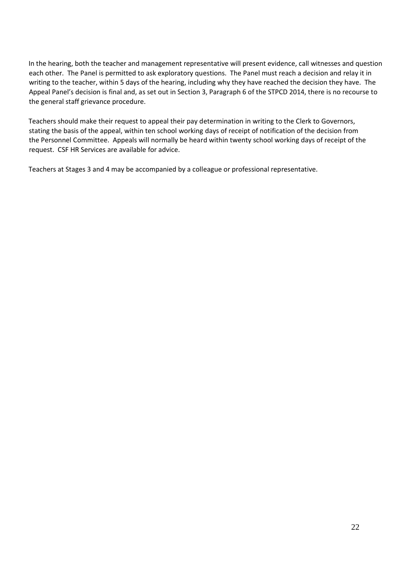In the hearing, both the teacher and management representative will present evidence, call witnesses and question each other. The Panel is permitted to ask exploratory questions. The Panel must reach a decision and relay it in writing to the teacher, within 5 days of the hearing, including why they have reached the decision they have. The Appeal Panel's decision is final and, as set out in Section 3, Paragraph 6 of the STPCD 2014, there is no recourse to the general staff grievance procedure.

Teachers should make their request to appeal their pay determination in writing to the Clerk to Governors, stating the basis of the appeal, within ten school working days of receipt of notification of the decision from the Personnel Committee. Appeals will normally be heard within twenty school working days of receipt of the request. CSF HR Services are available for advice.

Teachers at Stages 3 and 4 may be accompanied by a colleague or professional representative.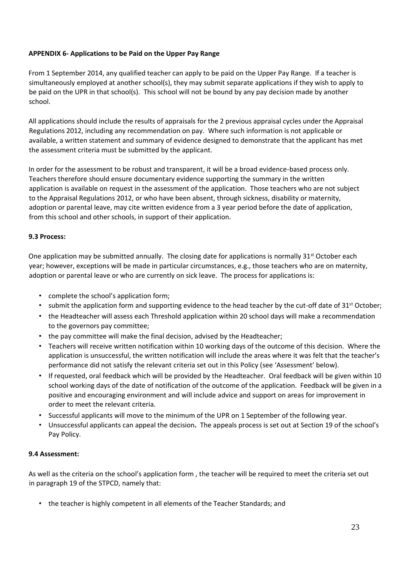# **APPENDIX 6- Applications to be Paid on the Upper Pay Range**

From 1 September 2014, any qualified teacher can apply to be paid on the Upper Pay Range. If a teacher is simultaneously employed at another school(s), they may submit separate applications if they wish to apply to be paid on the UPR in that school(s). This school will not be bound by any pay decision made by another school.

All applications should include the results of appraisals for the 2 previous appraisal cycles under the Appraisal Regulations 2012, including any recommendation on pay. Where such information is not applicable or available, a written statement and summary of evidence designed to demonstrate that the applicant has met the assessment criteria must be submitted by the applicant.

In order for the assessment to be robust and transparent, it will be a broad evidence-based process only. Teachers therefore should ensure documentary evidence supporting the summary in the written application is available on request in the assessment of the application. Those teachers who are not subject to the Appraisal Regulations 2012, or who have been absent, through sickness, disability or maternity, adoption or parental leave, may cite written evidence from a 3 year period before the date of application, from this school and other schools, in support of their application.

# **9.3 Process:**

One application may be submitted annually. The closing date for applications is normally 31<sup>st</sup> October each year; however, exceptions will be made in particular circumstances, e.g., those teachers who are on maternity, adoption or parental leave or who are currently on sick leave. The process for applications is:

- complete the school's application form;
- submit the application form and supporting evidence to the head teacher by the cut-off date of  $31<sup>st</sup>$  October;
- the Headteacher will assess each Threshold application within 20 school days will make a recommendation to the governors pay committee;
- the pay committee will make the final decision, advised by the Headteacher;
- Teachers will receive written notification within 10 working days of the outcome of this decision. Where the application is unsuccessful, the written notification will include the areas where it was felt that the teacher's performance did not satisfy the relevant criteria set out in this Policy (see 'Assessment' below).
- If requested, oral feedback which will be provided by the Headteacher. Oral feedback will be given within 10 school working days of the date of notification of the outcome of the application. Feedback will be given in a positive and encouraging environment and will include advice and support on areas for improvement in order to meet the relevant criteria.
- Successful applicants will move to the minimum of the UPR on 1 September of the following year.
- Unsuccessful applicants can appeal the decision**.** The appeals process is set out at Section 19 of the school's Pay Policy.

# **9.4 Assessment:**

As well as the criteria on the school's application form , the teacher will be required to meet the criteria set out in paragraph 19 of the STPCD, namely that:

• the teacher is highly competent in all elements of the Teacher Standards; and